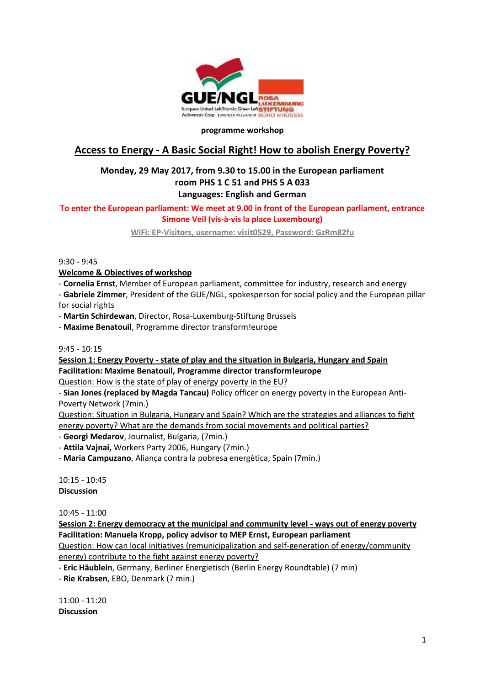

#### **programme workshop**

# **Access to Energy - A Basic Social Right! How to abolish Energy Poverty?**

## **Monday, 29 May 2017, from 9.30 to 15.00 in the European parliament room PHS 1 C 51 and PHS 5 A 033 Languages: English and German**

## **To enter the European parliament: We meet at 9.00 in front of the European parliament, entrance Simone Veil (vis-à-vis la place Luxembourg)**

**WiFi: EP-Visitors, username: visit0529, Password: GzRm82fu**

9:30 - 9:45

**Welcome & Objectives of workshop**

- **Cornelia Ernst**, Member of European parliament, committee for industry, research and energy
- **Gabriele Zimmer**, President of the GUE/NGL, spokesperson for social policy and the European pillar for social rights
- **Martin Schirdewan**, Director, Rosa-Luxemburg-Stiftung Brussels
- **Maxime Benatouil**, Programme director transform!europe

9:45 - 10:15

**Session 1: Energy Poverty - state of play and the situation in Bulgaria, Hungary and Spain Facilitation: Maxime Benatouil, Programme director transform!europe**

Question: How is the state of play of energy poverty in the EU?

- **Sian Jones (replaced by Magda Tancau)** Policy officer on energy poverty in the European Anti- Poverty Network (7min.)

Question: Situation in Bulgaria, Hungary and Spain? Which are the strategies and alliances to fight energy poverty? What are the demands from social movements and political parties?

- **Georgi Medarov**, Journalist, Bulgaria, (7min.)

- **Attila Vajnai,** Workers Party 2006, Hungary (7min.)

- **Maria Campuzano**, Aliança contra la pobresa energètica, Spain (7min.)

10:15 - 10:45 **Discussion**

10:45 - 11:00

**Session 2: Energy democracy at the municipal and community level - ways out of energy poverty Facilitation: Manuela Kropp, policy advisor to MEP Ernst, European parliament**

Question: How can local initiatives (remunicipalization and self-generation of energy/community energy) contribute to the fight against energy poverty?

- **Eric Häublein**, Germany, Berliner Energietisch (Berlin Energy Roundtable) (7 min)

- **Rie Krabsen**, EBO, Denmark (7 min.)

11:00 - 11:20 **Discussion**